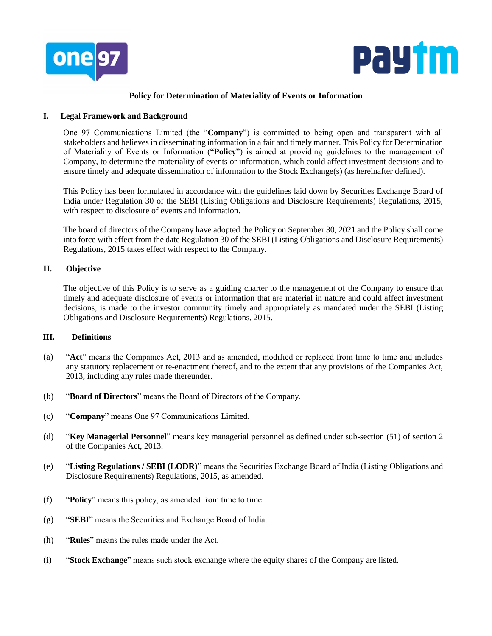



### **Policy for Determination of Materiality of Events or Information**

## **I. Legal Framework and Background**

One 97 Communications Limited (the "**Company**") is committed to being open and transparent with all stakeholders and believes in disseminating information in a fair and timely manner. This Policy for Determination of Materiality of Events or Information ("**Policy**") is aimed at providing guidelines to the management of Company, to determine the materiality of events or information, which could affect investment decisions and to ensure timely and adequate dissemination of information to the Stock Exchange(s) (as hereinafter defined).

This Policy has been formulated in accordance with the guidelines laid down by Securities Exchange Board of India under Regulation 30 of the SEBI (Listing Obligations and Disclosure Requirements) Regulations, 2015, with respect to disclosure of events and information.

The board of directors of the Company have adopted the Policy on September 30, 2021 and the Policy shall come into force with effect from the date Regulation 30 of the SEBI (Listing Obligations and Disclosure Requirements) Regulations, 2015 takes effect with respect to the Company.

# **II. Objective**

The objective of this Policy is to serve as a guiding charter to the management of the Company to ensure that timely and adequate disclosure of events or information that are material in nature and could affect investment decisions, is made to the investor community timely and appropriately as mandated under the SEBI (Listing Obligations and Disclosure Requirements) Regulations, 2015.

# **III. Definitions**

- (a) "**Act**" means the Companies Act, 2013 and as amended, modified or replaced from time to time and includes any statutory replacement or re-enactment thereof, and to the extent that any provisions of the Companies Act, 2013, including any rules made thereunder.
- (b) "**Board of Directors**" means the Board of Directors of the Company.
- (c) "**Company**" means One 97 Communications Limited.
- (d) "**Key Managerial Personnel**" means key managerial personnel as defined under sub-section (51) of section 2 of the Companies Act, 2013.
- (e) "**Listing Regulations / SEBI (LODR)**" means the Securities Exchange Board of India (Listing Obligations and Disclosure Requirements) Regulations, 2015, as amended.
- (f) "**Policy**" means this policy, as amended from time to time.
- (g) "**SEBI**" means the Securities and Exchange Board of India.
- (h) "**Rules**" means the rules made under the Act.
- (i) "**Stock Exchange**" means such stock exchange where the equity shares of the Company are listed.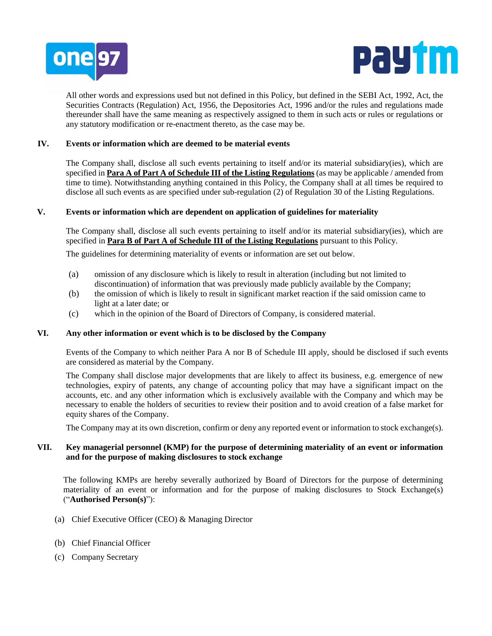



All other words and expressions used but not defined in this Policy, but defined in the SEBI Act, 1992, Act, the Securities Contracts (Regulation) Act, 1956, the Depositories Act, 1996 and/or the rules and regulations made thereunder shall have the same meaning as respectively assigned to them in such acts or rules or regulations or any statutory modification or re-enactment thereto, as the case may be.

# **IV. Events or information which are deemed to be material events**

The Company shall, disclose all such events pertaining to itself and/or its material subsidiary(ies), which are specified in **Para A of Part A of Schedule III of the Listing Regulations** (as may be applicable / amended from time to time). Notwithstanding anything contained in this Policy, the Company shall at all times be required to disclose all such events as are specified under sub-regulation (2) of Regulation 30 of the Listing Regulations.

### **V. Events or information which are dependent on application of guidelines for materiality**

The Company shall, disclose all such events pertaining to itself and/or its material subsidiary(ies), which are specified in **Para B of Part A of Schedule III of the Listing Regulations** pursuant to this Policy.

The guidelines for determining materiality of events or information are set out below.

- (a) omission of any disclosure which is likely to result in alteration (including but not limited to discontinuation) of information that was previously made publicly available by the Company;
- (b) the omission of which is likely to result in significant market reaction if the said omission came to light at a later date; or
- (c) which in the opinion of the Board of Directors of Company, is considered material.

#### **VI. Any other information or event which is to be disclosed by the Company**

Events of the Company to which neither Para A nor B of Schedule III apply, should be disclosed if such events are considered as material by the Company.

The Company shall disclose major developments that are likely to affect its business, e.g. emergence of new technologies, expiry of patents, any change of accounting policy that may have a significant impact on the accounts, etc. and any other information which is exclusively available with the Company and which may be necessary to enable the holders of securities to review their position and to avoid creation of a false market for equity shares of the Company.

The Company may at its own discretion, confirm or deny any reported event or information to stock exchange(s).

## **VII. Key managerial personnel (KMP) for the purpose of determining materiality of an event or information and for the purpose of making disclosures to stock exchange**

The following KMPs are hereby severally authorized by Board of Directors for the purpose of determining materiality of an event or information and for the purpose of making disclosures to Stock Exchange(s) ("**Authorised Person(s)**"):

- (a) Chief Executive Officer (CEO) & Managing Director
- (b) Chief Financial Officer
- (c) Company Secretary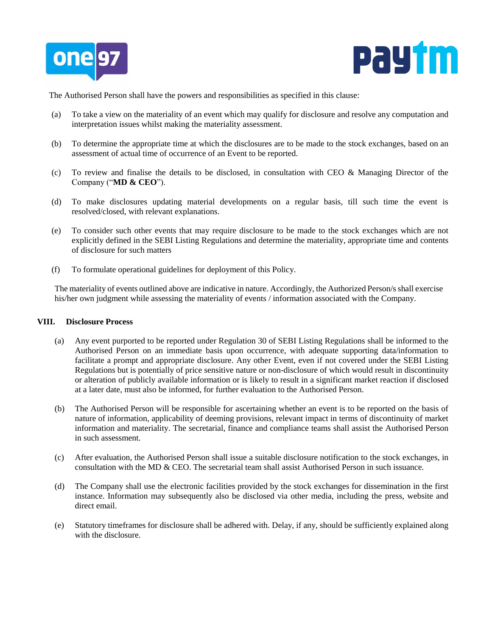



The Authorised Person shall have the powers and responsibilities as specified in this clause:

- (a) To take a view on the materiality of an event which may qualify for disclosure and resolve any computation and interpretation issues whilst making the materiality assessment.
- (b) To determine the appropriate time at which the disclosures are to be made to the stock exchanges, based on an assessment of actual time of occurrence of an Event to be reported.
- (c) To review and finalise the details to be disclosed, in consultation with CEO  $\&$  Managing Director of the Company ("**MD & CEO**").
- (d) To make disclosures updating material developments on a regular basis, till such time the event is resolved/closed, with relevant explanations.
- (e) To consider such other events that may require disclosure to be made to the stock exchanges which are not explicitly defined in the SEBI Listing Regulations and determine the materiality, appropriate time and contents of disclosure for such matters
- (f) To formulate operational guidelines for deployment of this Policy.

The materiality of events outlined above are indicative in nature. Accordingly, the Authorized Person/s shall exercise his/her own judgment while assessing the materiality of events / information associated with the Company.

#### **VIII. Disclosure Process**

- (a) Any event purported to be reported under Regulation 30 of SEBI Listing Regulations shall be informed to the Authorised Person on an immediate basis upon occurrence, with adequate supporting data/information to facilitate a prompt and appropriate disclosure. Any other Event, even if not covered under the SEBI Listing Regulations but is potentially of price sensitive nature or non-disclosure of which would result in discontinuity or alteration of publicly available information or is likely to result in a significant market reaction if disclosed at a later date, must also be informed, for further evaluation to the Authorised Person.
- (b) The Authorised Person will be responsible for ascertaining whether an event is to be reported on the basis of nature of information, applicability of deeming provisions, relevant impact in terms of discontinuity of market information and materiality. The secretarial, finance and compliance teams shall assist the Authorised Person in such assessment.
- (c) After evaluation, the Authorised Person shall issue a suitable disclosure notification to the stock exchanges, in consultation with the MD & CEO. The secretarial team shall assist Authorised Person in such issuance.
- (d) The Company shall use the electronic facilities provided by the stock exchanges for dissemination in the first instance. Information may subsequently also be disclosed via other media, including the press, website and direct email.
- (e) Statutory timeframes for disclosure shall be adhered with. Delay, if any, should be sufficiently explained along with the disclosure.